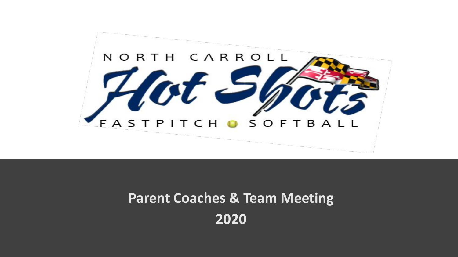

#### **Parent Coaches & Team Meeting 2020**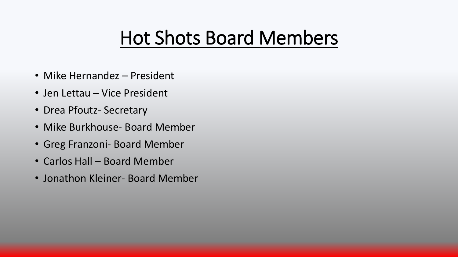### Hot Shots Board Members

- Mike Hernandez President
- Jen Lettau Vice President
- Drea Pfoutz- Secretary
- Mike Burkhouse- Board Member
- Greg Franzoni- Board Member
- Carlos Hall Board Member
- Jonathon Kleiner- Board Member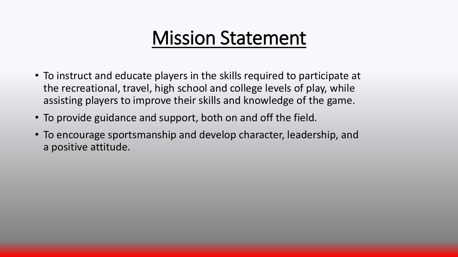#### Mission Statement

- To instruct and educate players in the skills required to participate at the recreational, travel, high school and college levels of play, while assisting players to improve their skills and knowledge of the game.
- To provide guidance and support, both on and off the field.
- To encourage sportsmanship and develop character, leadership, and a positive attitude.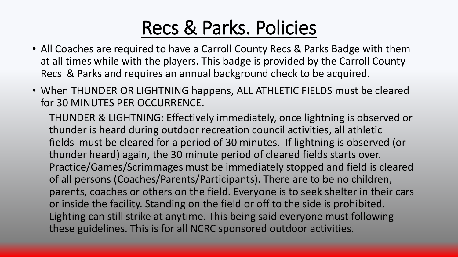### Recs & Parks. Policies

- All Coaches are required to have a Carroll County Recs & Parks Badge with them at all times while with the players. This badge is provided by the Carroll County Recs & Parks and requires an annual background check to be acquired.
- When THUNDER OR LIGHTNING happens, ALL ATHLETIC FIELDS must be cleared for 30 MINUTES PER OCCURRENCE.

THUNDER & LIGHTNING: Effectively immediately, once lightning is observed or thunder is heard during outdoor recreation council activities, all athletic fields must be cleared for a period of 30 minutes. If lightning is observed (or thunder heard) again, the 30 minute period of cleared fields starts over. Practice/Games/Scrimmages must be immediately stopped and field is cleared of all persons (Coaches/Parents/Participants). There are to be no children, parents, coaches or others on the field. Everyone is to seek shelter in their cars or inside the facility. Standing on the field or off to the side is prohibited. Lighting can still strike at anytime. This being said everyone must following these guidelines. This is for all NCRC sponsored outdoor activities.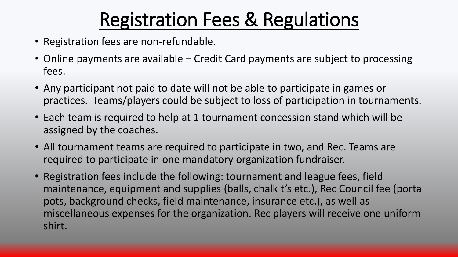# Registration Fees & Regulations

- Registration fees are non-refundable.
- Online payments are available Credit Card payments are subject to processing fees.
- Any participant not paid to date will not be able to participate in games or practices. Teams/players could be subject to loss of participation in tournaments.
- Each team is required to help at 1 tournament concession stand which will be assigned by the coaches.
- All tournament teams are required to participate in two, and Rec. Teams are required to participate in one mandatory organization fundraiser.
- Registration fees include the following: tournament and league fees, field maintenance, equipment and supplies (balls, chalk t's etc.), Rec Council fee (porta pots, background checks, field maintenance, insurance etc.), as well as miscellaneous expenses for the organization. Rec players will receive one uniform shirt.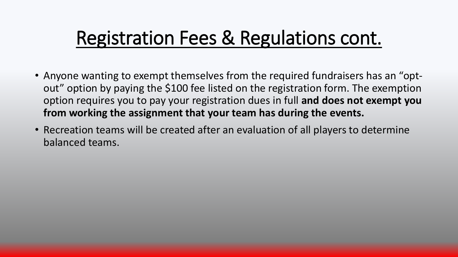### Registration Fees & Regulations cont.

- Anyone wanting to exempt themselves from the required fundraisers has an "optout" option by paying the \$100 fee listed on the registration form. The exemption option requires you to pay your registration dues in full **and does not exempt you from working the assignment that your team has during the events.**
- Recreation teams will be created after an evaluation of all players to determine balanced teams.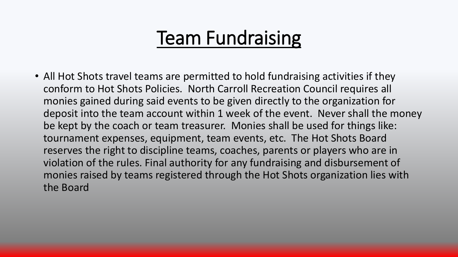### Team Fundraising

• All Hot Shots travel teams are permitted to hold fundraising activities if they conform to Hot Shots Policies. North Carroll Recreation Council requires all monies gained during said events to be given directly to the organization for deposit into the team account within 1 week of the event. Never shall the money be kept by the coach or team treasurer. Monies shall be used for things like: tournament expenses, equipment, team events, etc. The Hot Shots Board reserves the right to discipline teams, coaches, parents or players who are in violation of the rules. Final authority for any fundraising and disbursement of monies raised by teams registered through the Hot Shots organization lies with the Board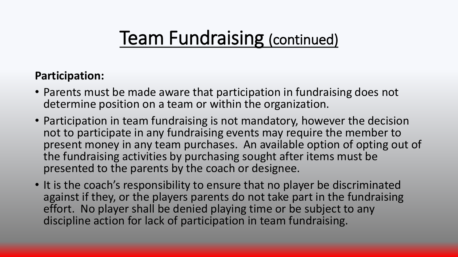### Team Fundraising (continued)

#### **Participation:**

- Parents must be made aware that participation in fundraising does not determine position on a team or within the organization.
- Participation in team fundraising is not mandatory, however the decision not to participate in any fundraising events may require the member to present money in any team purchases. An available option of opting out of the fundraising activities by purchasing sought after items must be presented to the parents by the coach or designee.
- It is the coach's responsibility to ensure that no player be discriminated against if they, or the players parents do not take part in the fundraising effort. No player shall be denied playing time or be subject to any discipline action for lack of participation in team fundraising.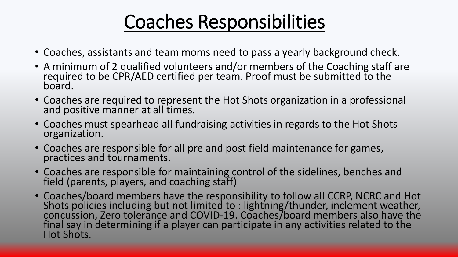# Coaches Responsibilities

- Coaches, assistants and team moms need to pass a yearly background check.
- A minimum of 2 qualified volunteers and/or members of the Coaching staff are required to be CPR/AED certified per team. Proof must be submitted to the board.
- Coaches are required to represent the Hot Shots organization in a professional and positive manner at all times.
- Coaches must spearhead all fundraising activities in regards to the Hot Shots organization.
- Coaches are responsible for all pre and post field maintenance for games, practices and tournaments.
- Coaches are responsible for maintaining control of the sidelines, benches and field (parents, players, and coaching staff)
- Coaches/board members have the responsibility to follow all CCRP, NCRC and Hot Shots policies including but not limited to : lightning/thunder, inclement weather, concussion, Zero tolerance and COVID-19. Coaches/board members also have the final say in determining if a player can participate in any activities related to the Hot Shots.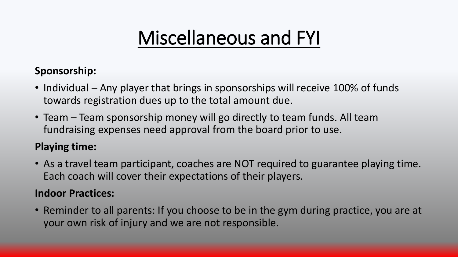### Miscellaneous and FYI

#### **Sponsorship:**

- Individual Any player that brings in sponsorships will receive 100% of funds towards registration dues up to the total amount due.
- Team Team sponsorship money will go directly to team funds. All team fundraising expenses need approval from the board prior to use.

#### **Playing time:**

• As a travel team participant, coaches are NOT required to guarantee playing time. Each coach will cover their expectations of their players.

#### **Indoor Practices:**

• Reminder to all parents: If you choose to be in the gym during practice, you are at your own risk of injury and we are not responsible.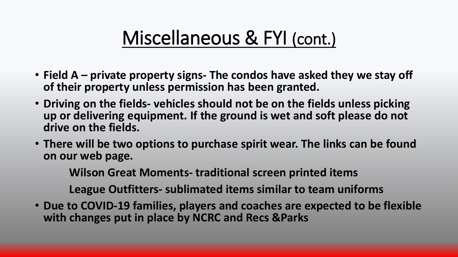#### Miscellaneous & FYI (cont.)

- **Field A – private property signs- The condos have asked they we stay off of their property unless permission has been granted.**
- **Driving on the fields- vehicles should not be on the fields unless picking up or delivering equipment. If the ground is wet and soft please do not drive on the fields.**
- **There will be two options to purchase spirit wear. The links can be found on our web page.**

**Wilson Great Moments- traditional screen printed items**

**League Outfitters- sublimated items similar to team uniforms**

• **Due to COVID-19 families, players and coaches are expected to be flexible with changes put in place by NCRC and Recs &Parks**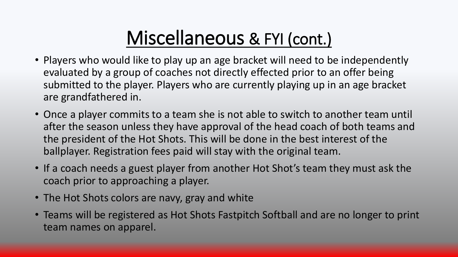### Miscellaneous & FYI (cont.)

- Players who would like to play up an age bracket will need to be independently evaluated by a group of coaches not directly effected prior to an offer being submitted to the player. Players who are currently playing up in an age bracket are grandfathered in.
- Once a player commits to a team she is not able to switch to another team until after the season unless they have approval of the head coach of both teams and the president of the Hot Shots. This will be done in the best interest of the ballplayer. Registration fees paid will stay with the original team.
- If a coach needs a guest player from another Hot Shot's team they must ask the coach prior to approaching a player.
- The Hot Shots colors are navy, gray and white
- Teams will be registered as Hot Shots Fastpitch Softball and are no longer to print team names on apparel.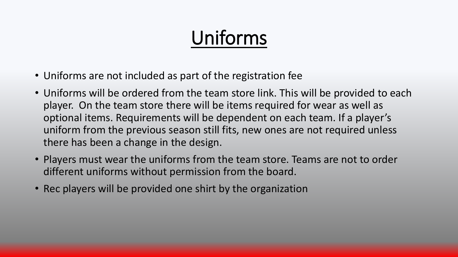# Uniforms

- Uniforms are not included as part of the registration fee
- Uniforms will be ordered from the team store link. This will be provided to each player. On the team store there will be items required for wear as well as optional items. Requirements will be dependent on each team. If a player's uniform from the previous season still fits, new ones are not required unless there has been a change in the design.
- Players must wear the uniforms from the team store. Teams are not to order different uniforms without permission from the board.
- Rec players will be provided one shirt by the organization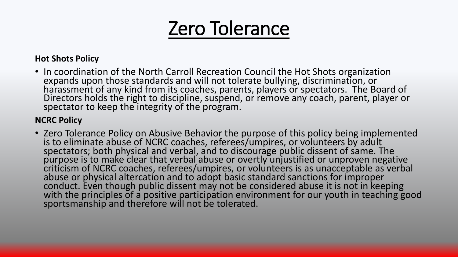#### Zero Tolerance

#### **Hot Shots Policy**

• In coordination of the North Carroll Recreation Council the Hot Shots organization expands upon those standards and will not tolerate bullying, discrimination, or harassment of any kind from its coaches, parents, players or spectators. The Board of Directors holds the right to discipline, suspend, or remove any coach, parent, player or spectator to keep the integrity of the program.

#### **NCRC Policy**

• Zero Tolerance Policy on Abusive Behavior the purpose of this policy being implemented is to eliminate abuse of NCRC coaches, referees/umpires, or volunteers by adult spectators; both physical and verbal, and to discourage public dissent of same. The purpose is to make clear that verbal abuse or overtly unjustified or unproven negative criticism of NCRC coaches, referees/umpires, or volunteers is as unacceptable as verbal abuse or physical altercation and to adopt basic standard sanctions for improper conduct. Even though public dissent may not be considered abuse it is not in keeping with the principles of a positive participation environment for our youth in teaching good sportsmanship and therefore will not be tolerated.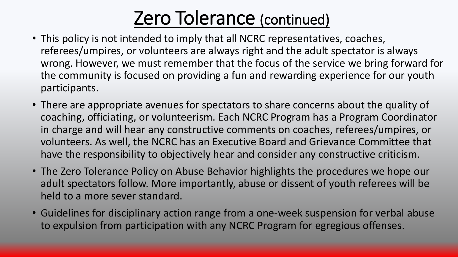### Zero Tolerance (continued)

- This policy is not intended to imply that all NCRC representatives, coaches, referees/umpires, or volunteers are always right and the adult spectator is always wrong. However, we must remember that the focus of the service we bring forward for the community is focused on providing a fun and rewarding experience for our youth participants.
- There are appropriate avenues for spectators to share concerns about the quality of coaching, officiating, or volunteerism. Each NCRC Program has a Program Coordinator in charge and will hear any constructive comments on coaches, referees/umpires, or volunteers. As well, the NCRC has an Executive Board and Grievance Committee that have the responsibility to objectively hear and consider any constructive criticism.
- The Zero Tolerance Policy on Abuse Behavior highlights the procedures we hope our adult spectators follow. More importantly, abuse or dissent of youth referees will be held to a more sever standard.
- Guidelines for disciplinary action range from a one-week suspension for verbal abuse to expulsion from participation with any NCRC Program for egregious offenses.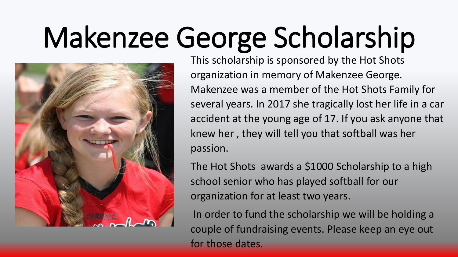# Makenzee George Scholarship



This scholarship is sponsored by the Hot Shots organization in memory of Makenzee George. Makenzee was a member of the Hot Shots Family for several years. In 2017 she tragically lost her life in a car accident at the young age of 17. If you ask anyone that knew her , they will tell you that softball was her passion.

The Hot Shots awards a \$1000 Scholarship to a high school senior who has played softball for our organization for at least two years.

In order to fund the scholarship we will be holding a couple of fundraising events. Please keep an eye out for those dates.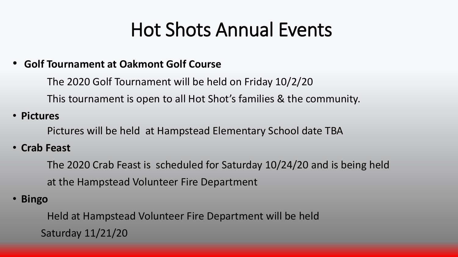### Hot Shots Annual Events

#### • **Golf Tournament at Oakmont Golf Course**

The 2020 Golf Tournament will be held on Friday 10/2/20 This tournament is open to all Hot Shot's families & the community.

• **Pictures**

Pictures will be held at Hampstead Elementary School date TBA

• **Crab Feast**

The 2020 Crab Feast is scheduled for Saturday 10/24/20 and is being held at the Hampstead Volunteer Fire Department

• **Bingo**

Held at Hampstead Volunteer Fire Department will be held Saturday 11/21/20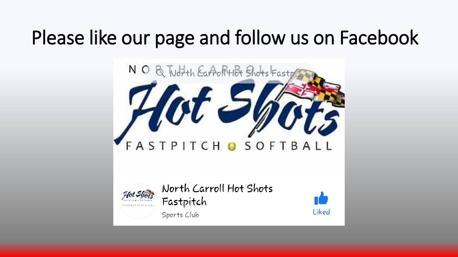# Please like our page and follow us on Facebook





North Carroll Hot Shots Fastpitch



Sports Club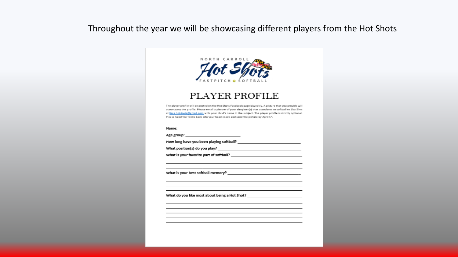#### Throughout the year we will be showcasing different players from the Hot Shots



#### **PLAYER PROFILE**

The player profile will be posted on the Hot Shots Facebook page biweekly. A picture that you provide will accompany the profile. Please email a picture of your daughter(s) that associates to softball to Lisa Sims at lisas.hotshots@gmail.com with your child's name in the subject. The player profile is strictly optional. Please hand the forms back into your head coach and send the picture by April 1<sup>c</sup>.

<u> 1989 - Johann Stein, mars an deutscher Stein und der Stein und der Stein und der Stein und der Stein und der</u>

<u> 1989 - Johann Barn, amerikansk politiker (</u> the control of the control of the control of the control of the control of the control of

<u> 1989 - Johann Stein, mars an deus Amerikaansk kommunister (</u>

the control of the control of the control of

<u> 1990 - Johann Barbara, martin a</u>

Name:

Age group: \_\_\_\_\_\_\_\_\_\_\_\_\_\_\_\_\_\_\_\_\_\_\_\_\_\_\_\_\_\_

What position(s) do you play? \_\_

What is your best softball memory? \_\_\_

What do you like most about being a Hot Shot? \_\_\_\_\_\_\_\_\_\_\_\_\_\_\_\_\_\_\_\_\_\_\_\_\_\_\_\_\_\_\_\_\_\_